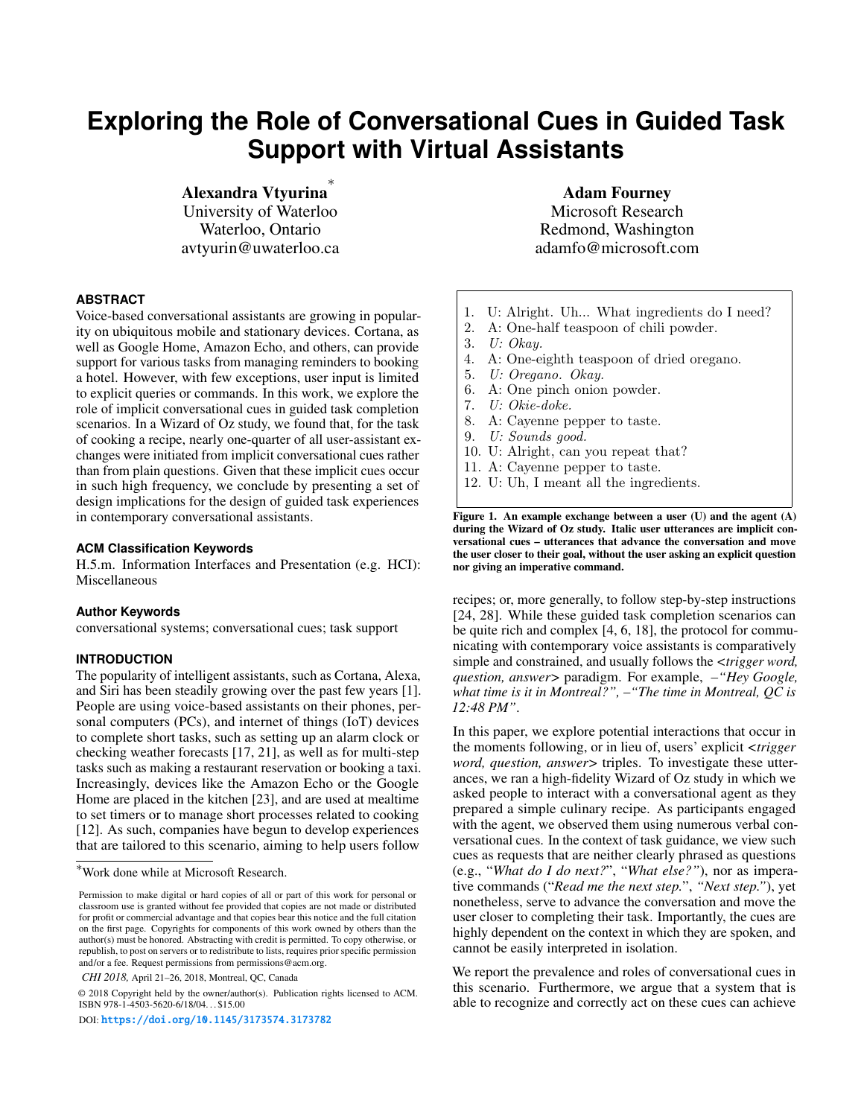# **Exploring the Role of Conversational Cues in Guided Task Support with Virtual Assistants**

Alexandra Vtyurina ∗

University of Waterloo Waterloo, Ontario avtyurin@uwaterloo.ca

## **ABSTRACT**

Voice-based conversational assistants are growing in popularity on ubiquitous mobile and stationary devices. Cortana, as well as Google Home, Amazon Echo, and others, can provide support for various tasks from managing reminders to booking a hotel. However, with few exceptions, user input is limited to explicit queries or commands. In this work, we explore the role of implicit conversational cues in guided task completion scenarios. In a Wizard of Oz study, we found that, for the task of cooking a recipe, nearly one-quarter of all user-assistant exchanges were initiated from implicit conversational cues rather than from plain questions. Given that these implicit cues occur in such high frequency, we conclude by presenting a set of design implications for the design of guided task experiences in contemporary conversational assistants.

## **ACM Classification Keywords**

H.5.m. Information Interfaces and Presentation (e.g. HCI): Miscellaneous

## **Author Keywords**

conversational systems; conversational cues; task support

## **INTRODUCTION**

The popularity of intelligent assistants, such as Cortana, Alexa, and Siri has been steadily growing over the past few years [\[1\]](#page-5-0). People are using voice-based assistants on their phones, personal computers (PCs), and internet of things (IoT) devices to complete short tasks, such as setting up an alarm clock or checking weather forecasts [\[17,](#page-5-1) [21\]](#page-6-0), as well as for multi-step tasks such as making a restaurant reservation or booking a taxi. Increasingly, devices like the Amazon Echo or the Google Home are placed in the kitchen [\[23\]](#page-6-1), and are used at mealtime to set timers or to manage short processes related to cooking [\[12\]](#page-5-2). As such, companies have begun to develop experiences that are tailored to this scenario, aiming to help users follow

*CHI 2018,* April 21–26, 2018, Montreal, QC, Canada

DOI: <https://doi.org/10.1145/3173574.3173782>

Adam Fourney Microsoft Research Redmond, Washington adamfo@microsoft.com

- 1. U: Alright. Uh... What ingredients do I need?
- 2. A: One-half teaspoon of chili powder.
- 3. U: Okay.
- 4. A: One-eighth teaspoon of dried oregano.
- 5. U: Oregano. Okay.
- 6. A: One pinch onion powder.
- 7. U: Okie-doke.
- 8. A: Cayenne pepper to taste.
- 9. U: Sounds good.
- 10. U: Alright, can you repeat that?
- 11. A: Cayenne pepper to taste.
- <span id="page-0-0"></span>12. U: Uh, I meant all the ingredients.

Figure 1. An example exchange between a user (U) and the agent (A) during the Wizard of Oz study. Italic user utterances are implicit conversational cues – utterances that advance the conversation and move the user closer to their goal, without the user asking an explicit question nor giving an imperative command.

recipes; or, more generally, to follow step-by-step instructions [\[24,](#page-6-2) [28\]](#page-6-3). While these guided task completion scenarios can be quite rich and complex [\[4,](#page-5-3) [6,](#page-5-4) [18\]](#page-5-5), the protocol for communicating with contemporary voice assistants is comparatively simple and constrained, and usually follows the *<trigger word, question, answer>* paradigm. For example, *–"Hey Google, what time is it in Montreal?", –"The time in Montreal, QC is 12:48 PM"*.

In this paper, we explore potential interactions that occur in the moments following, or in lieu of, users' explicit *<trigger word, question, answer>* triples. To investigate these utterances, we ran a high-fidelity Wizard of Oz study in which we asked people to interact with a conversational agent as they prepared a simple culinary recipe. As participants engaged with the agent, we observed them using numerous verbal conversational cues. In the context of task guidance, we view such cues as requests that are neither clearly phrased as questions (e.g., "*What do I do next?*", "*What else?"*), nor as imperative commands ("*Read me the next step.*", *"Next step."*), yet nonetheless, serve to advance the conversation and move the user closer to completing their task. Importantly, the cues are highly dependent on the context in which they are spoken, and cannot be easily interpreted in isolation.

We report the prevalence and roles of conversational cues in this scenario. Furthermore, we argue that a system that is able to recognize and correctly act on these cues can achieve

<sup>∗</sup>Work done while at Microsoft Research.

Permission to make digital or hard copies of all or part of this work for personal or classroom use is granted without fee provided that copies are not made or distributed for profit or commercial advantage and that copies bear this notice and the full citation on the first page. Copyrights for components of this work owned by others than the author(s) must be honored. Abstracting with credit is permitted. To copy otherwise, or republish, to post on servers or to redistribute to lists, requires prior specific permission and/or a fee. Request permissions from permissions@acm.org.

<sup>© 2018</sup> Copyright held by the owner/author(s). Publication rights licensed to ACM. ISBN 978-1-4503-5620-6/18/04. . . \$15.00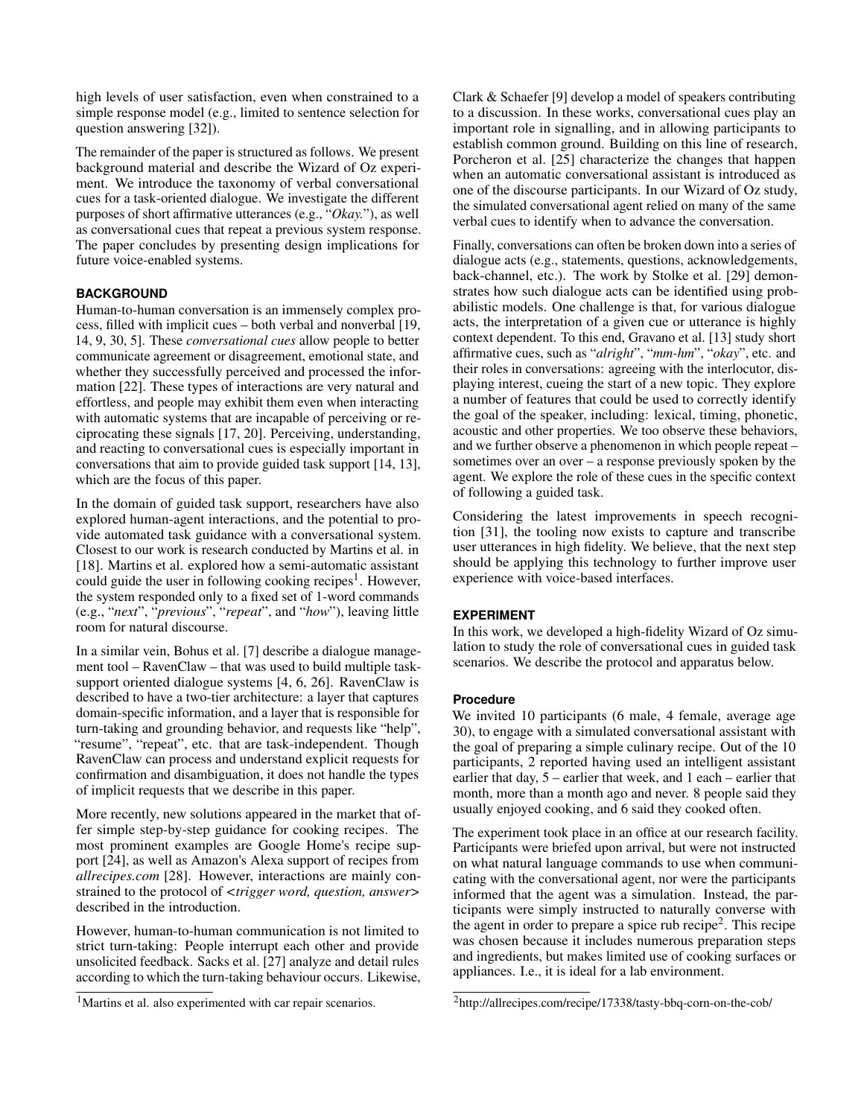high levels of user satisfaction, even when constrained to a simple response model (e.g., limited to sentence selection for question answering [\[32\]](#page-6-4)).

The remainder of the paper is structured as follows. We present background material and describe the Wizard of Oz experiment. We introduce the taxonomy of verbal conversational cues for a task-oriented dialogue. We investigate the different purposes of short affirmative utterances (e.g., "*Okay.*"), as well as conversational cues that repeat a previous system response. The paper concludes by presenting design implications for future voice-enabled systems.

# **BACKGROUND**

Human-to-human conversation is an immensely complex process, filled with implicit cues – both verbal and nonverbal [\[19,](#page-5-6) [14,](#page-5-7) [9,](#page-5-8) [30,](#page-6-5) [5\]](#page-5-9). These *conversational cues* allow people to better communicate agreement or disagreement, emotional state, and whether they successfully perceived and processed the information [\[22\]](#page-6-6). These types of interactions are very natural and effortless, and people may exhibit them even when interacting with automatic systems that are incapable of perceiving or reciprocating these signals [\[17,](#page-5-1) [20\]](#page-6-7). Perceiving, understanding, and reacting to conversational cues is especially important in conversations that aim to provide guided task support [\[14,](#page-5-7) [13\]](#page-5-10), which are the focus of this paper.

In the domain of guided task support, researchers have also explored human-agent interactions, and the potential to provide automated task guidance with a conversational system. Closest to our work is research conducted by Martins et al. in [\[18\]](#page-5-5). Martins et al. explored how a semi-automatic assistant could guide the user in following cooking recipes<sup>[1](#page-1-0)</sup>. However, the system responded only to a fixed set of 1-word commands (e.g., "*next*", "*previous*", "*repeat*", and "*how*"), leaving little room for natural discourse.

In a similar vein, Bohus et al. [\[7\]](#page-5-11) describe a dialogue management tool – RavenClaw – that was used to build multiple tasksupport oriented dialogue systems [\[4,](#page-5-3) [6,](#page-5-4) [26\]](#page-6-8). RavenClaw is described to have a two-tier architecture: a layer that captures domain-specific information, and a layer that is responsible for turn-taking and grounding behavior, and requests like "help", "resume", "repeat", etc. that are task-independent. Though RavenClaw can process and understand explicit requests for confirmation and disambiguation, it does not handle the types of implicit requests that we describe in this paper.

More recently, new solutions appeared in the market that offer simple step-by-step guidance for cooking recipes. The most prominent examples are Google Home's recipe support [\[24\]](#page-6-2), as well as Amazon's Alexa support of recipes from *allrecipes.com* [\[28\]](#page-6-3). However, interactions are mainly constrained to the protocol of *<trigger word, question, answer>* described in the introduction.

However, human-to-human communication is not limited to strict turn-taking: People interrupt each other and provide unsolicited feedback. Sacks et al. [\[27\]](#page-6-9) analyze and detail rules according to which the turn-taking behaviour occurs. Likewise, Clark & Schaefer [\[9\]](#page-5-8) develop a model of speakers contributing to a discussion. In these works, conversational cues play an important role in signalling, and in allowing participants to establish common ground. Building on this line of research, Porcheron et al. [\[25\]](#page-6-10) characterize the changes that happen when an automatic conversational assistant is introduced as one of the discourse participants. In our Wizard of Oz study, the simulated conversational agent relied on many of the same verbal cues to identify when to advance the conversation.

Finally, conversations can often be broken down into a series of dialogue acts (e.g., statements, questions, acknowledgements, back-channel, etc.). The work by Stolke et al. [\[29\]](#page-6-11) demonstrates how such dialogue acts can be identified using probabilistic models. One challenge is that, for various dialogue acts, the interpretation of a given cue or utterance is highly context dependent. To this end, Gravano et al. [\[13\]](#page-5-10) study short affirmative cues, such as "*alright*", "*mm-hm*", "*okay*", etc. and their roles in conversations: agreeing with the interlocutor, displaying interest, cueing the start of a new topic. They explore a number of features that could be used to correctly identify the goal of the speaker, including: lexical, timing, phonetic, acoustic and other properties. We too observe these behaviors, and we further observe a phenomenon in which people repeat – sometimes over an over – a response previously spoken by the agent. We explore the role of these cues in the specific context of following a guided task.

Considering the latest improvements in speech recognition [\[31\]](#page-6-12), the tooling now exists to capture and transcribe user utterances in high fidelity. We believe, that the next step should be applying this technology to further improve user experience with voice-based interfaces.

## **EXPERIMENT**

In this work, we developed a high-fidelity Wizard of Oz simulation to study the role of conversational cues in guided task scenarios. We describe the protocol and apparatus below.

# **Procedure**

We invited 10 participants (6 male, 4 female, average age 30), to engage with a simulated conversational assistant with the goal of preparing a simple culinary recipe. Out of the 10 participants, 2 reported having used an intelligent assistant earlier that day, 5 – earlier that week, and 1 each – earlier that month, more than a month ago and never. 8 people said they usually enjoyed cooking, and 6 said they cooked often.

The experiment took place in an office at our research facility. Participants were briefed upon arrival, but were not instructed on what natural language commands to use when communicating with the conversational agent, nor were the participants informed that the agent was a simulation. Instead, the participants were simply instructed to naturally converse with the agent in order to prepare a spice rub recipe<sup>[2](#page-1-1)</sup>. This recipe was chosen because it includes numerous preparation steps and ingredients, but makes limited use of cooking surfaces or appliances. I.e., it is ideal for a lab environment.

<span id="page-1-0"></span><sup>&</sup>lt;sup>1</sup>Martins et al. also experimented with car repair scenarios.

<span id="page-1-1"></span><sup>2</sup>http://allrecipes.com/recipe/17338/tasty-bbq-corn-on-the-cob/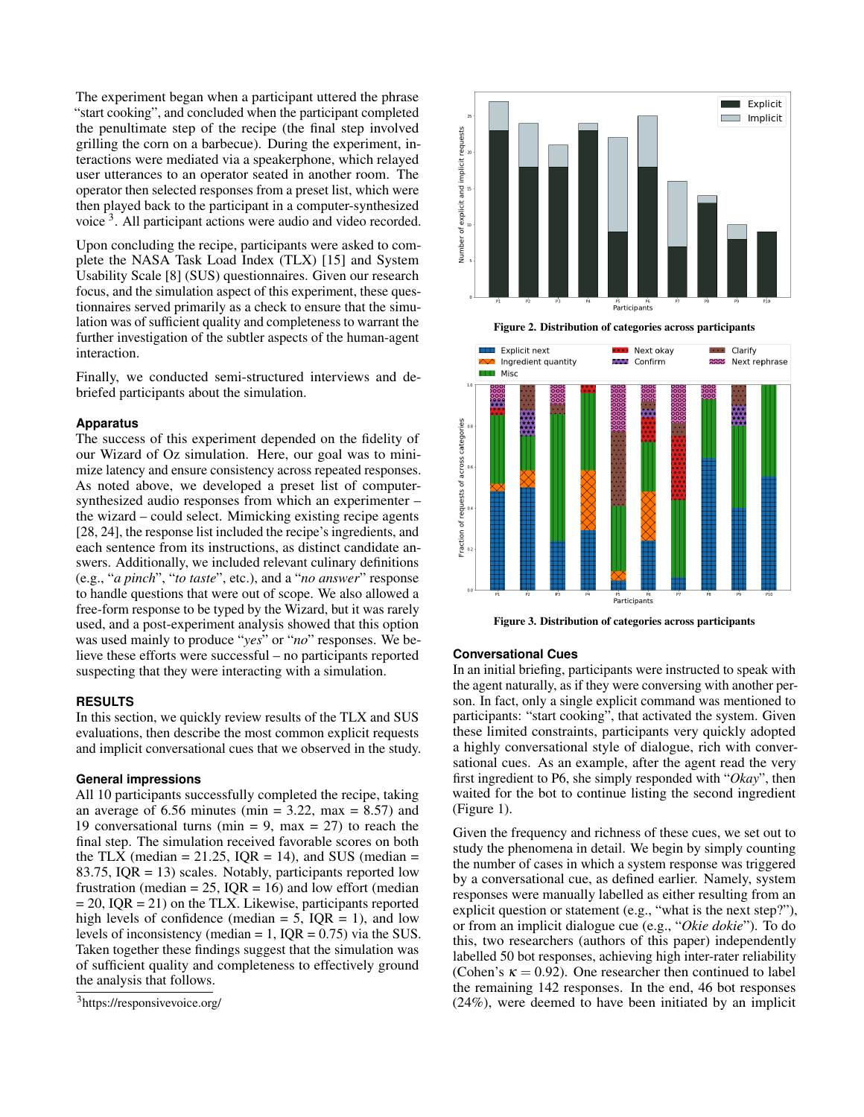The experiment began when a participant uttered the phrase "start cooking", and concluded when the participant completed the penultimate step of the recipe (the final step involved grilling the corn on a barbecue). During the experiment, interactions were mediated via a speakerphone, which relayed user utterances to an operator seated in another room. The operator then selected responses from a preset list, which were then played back to the participant in a computer-synthesized voice<sup>[3](#page-2-0)</sup>. All participant actions were audio and video recorded.

Upon concluding the recipe, participants were asked to complete the NASA Task Load Index (TLX) [\[15\]](#page-5-12) and System Usability Scale [\[8\]](#page-5-13) (SUS) questionnaires. Given our research focus, and the simulation aspect of this experiment, these questionnaires served primarily as a check to ensure that the simulation was of sufficient quality and completeness to warrant the further investigation of the subtler aspects of the human-agent interaction.

Finally, we conducted semi-structured interviews and debriefed participants about the simulation.

## **Apparatus**

The success of this experiment depended on the fidelity of our Wizard of Oz simulation. Here, our goal was to minimize latency and ensure consistency across repeated responses. As noted above, we developed a preset list of computersynthesized audio responses from which an experimenter – the wizard – could select. Mimicking existing recipe agents [\[28,](#page-6-3) [24\]](#page-6-2), the response list included the recipe's ingredients, and each sentence from its instructions, as distinct candidate answers. Additionally, we included relevant culinary definitions (e.g., "*a pinch*", "*to taste*", etc.), and a "*no answer*" response to handle questions that were out of scope. We also allowed a free-form response to be typed by the Wizard, but it was rarely used, and a post-experiment analysis showed that this option was used mainly to produce "*yes*" or "*no*" responses. We believe these efforts were successful – no participants reported suspecting that they were interacting with a simulation.

## **RESULTS**

In this section, we quickly review results of the TLX and SUS evaluations, then describe the most common explicit requests and implicit conversational cues that we observed in the study.

## **General impressions**

All 10 participants successfully completed the recipe, taking an average of 6.56 minutes (min  $= 3.22$ , max  $= 8.57$ ) and 19 conversational turns (min = 9, max = 27) to reach the final step. The simulation received favorable scores on both the TLX (median = 21.25, IQR = 14), and SUS (median = 83.75, IQR = 13) scales. Notably, participants reported low frustration (median =  $25$ , IQR = 16) and low effort (median  $= 20$ , IQR  $= 21$ ) on the TLX. Likewise, participants reported high levels of confidence (median  $= 5$ , IQR  $= 1$ ), and low levels of inconsistency (median  $= 1$ , IOR  $= 0.75$ ) via the SUS. Taken together these findings suggest that the simulation was of sufficient quality and completeness to effectively ground the analysis that follows.

<span id="page-2-1"></span>

<span id="page-2-2"></span>Figure 3. Distribution of categories across participants

## **Conversational Cues**

In an initial briefing, participants were instructed to speak with the agent naturally, as if they were conversing with another person. In fact, only a single explicit command was mentioned to participants: "start cooking", that activated the system. Given these limited constraints, participants very quickly adopted a highly conversational style of dialogue, rich with conversational cues. As an example, after the agent read the very first ingredient to P6, she simply responded with "*Okay*", then waited for the bot to continue listing the second ingredient (Figure [1\)](#page-0-0).

Given the frequency and richness of these cues, we set out to study the phenomena in detail. We begin by simply counting the number of cases in which a system response was triggered by a conversational cue, as defined earlier. Namely, system responses were manually labelled as either resulting from an explicit question or statement (e.g., "what is the next step?"), or from an implicit dialogue cue (e.g., "*Okie dokie*"). To do this, two researchers (authors of this paper) independently labelled 50 bot responses, achieving high inter-rater reliability (Cohen's  $\kappa = 0.92$ ). One researcher then continued to label the remaining 142 responses. In the end, 46 bot responses (24%), were deemed to have been initiated by an implicit

<span id="page-2-0"></span><sup>3</sup>https://responsivevoice.org/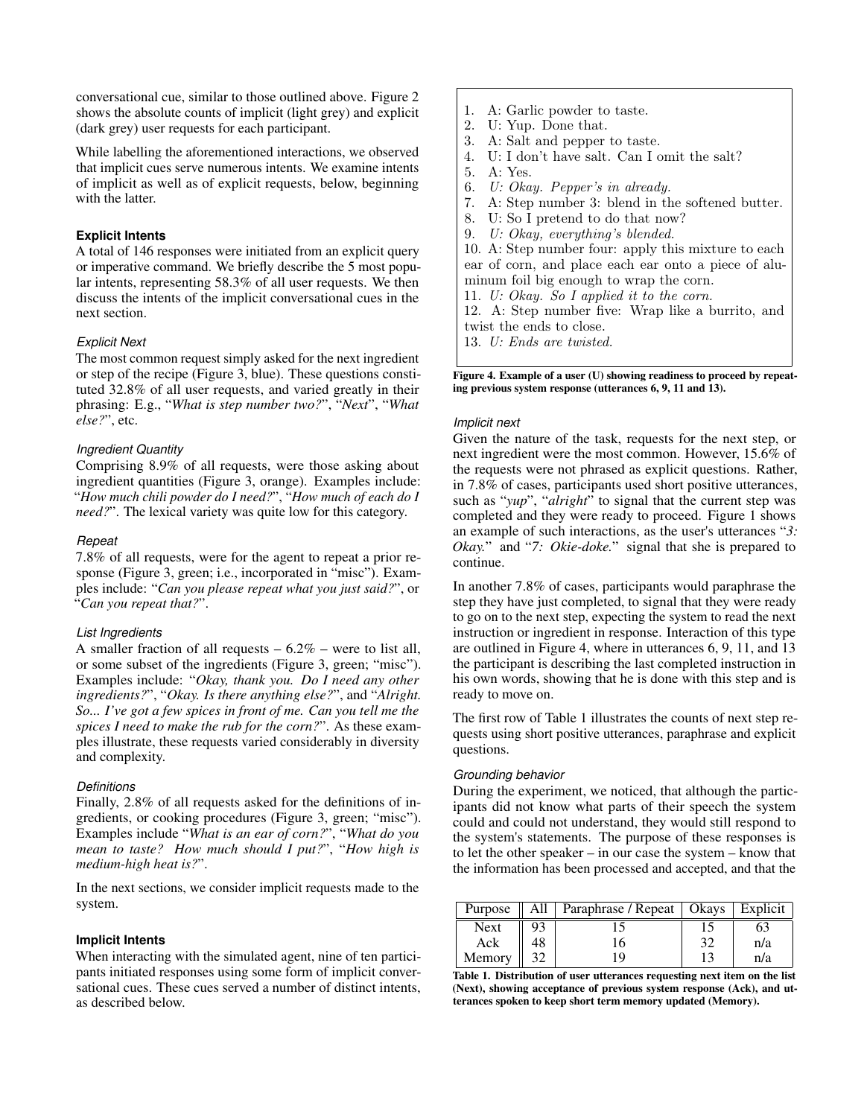conversational cue, similar to those outlined above. Figure [2](#page-2-1) shows the absolute counts of implicit (light grey) and explicit (dark grey) user requests for each participant.

While labelling the aforementioned interactions, we observed that implicit cues serve numerous intents. We examine intents of implicit as well as of explicit requests, below, beginning with the latter.

## **Explicit Intents**

A total of 146 responses were initiated from an explicit query or imperative command. We briefly describe the 5 most popular intents, representing 58.3% of all user requests. We then discuss the intents of the implicit conversational cues in the next section.

## *Explicit Next*

The most common request simply asked for the next ingredient or step of the recipe (Figure [3,](#page-2-2) blue). These questions constituted 32.8% of all user requests, and varied greatly in their phrasing: E.g., "*What is step number two?*", "*Next*", "*What else?*", etc.

## *Ingredient Quantity*

Comprising 8.9% of all requests, were those asking about ingredient quantities (Figure [3,](#page-2-2) orange). Examples include: "*How much chili powder do I need?*", "*How much of each do I need?*". The lexical variety was quite low for this category.

## *Repeat*

7.8% of all requests, were for the agent to repeat a prior response (Figure [3,](#page-2-2) green; i.e., incorporated in "misc"). Examples include: "*Can you please repeat what you just said?*", or "*Can you repeat that?*".

## *List Ingredients*

A smaller fraction of all requests  $-6.2%$  – were to list all, or some subset of the ingredients (Figure [3,](#page-2-2) green; "misc"). Examples include: "*Okay, thank you. Do I need any other ingredients?*", "*Okay. Is there anything else?*", and "*Alright. So... I've got a few spices in front of me. Can you tell me the spices I need to make the rub for the corn?*". As these examples illustrate, these requests varied considerably in diversity and complexity.

## *Definitions*

Finally, 2.8% of all requests asked for the definitions of ingredients, or cooking procedures (Figure [3,](#page-2-2) green; "misc"). Examples include "*What is an ear of corn?*", "*What do you mean to taste? How much should I put?*", "*How high is medium-high heat is?*".

In the next sections, we consider implicit requests made to the system.

## **Implicit Intents**

When interacting with the simulated agent, nine of ten participants initiated responses using some form of implicit conversational cues. These cues served a number of distinct intents, as described below.

- 1. A: Garlic powder to taste.
- 2. U: Yup. Done that.
- 3. A: Salt and pepper to taste.
- 4. U: I don't have salt. Can I omit the salt?
- 5. A: Yes.
- 6. U: Okay. Pepper's in already.
- 7. A: Step number 3: blend in the softened butter.
- 8. U: So I pretend to do that now?
- 9. U: Okay, everything's blended.

10. A: Step number four: apply this mixture to each ear of corn, and place each ear onto a piece of aluminum foil big enough to wrap the corn.

11. U: Okay. So I applied it to the corn.

12. A: Step number five: Wrap like a burrito, and twist the ends to close.

13. U: Ends are twisted.

<span id="page-3-0"></span>Figure 4. Example of a user (U) showing readiness to proceed by repeating previous system response (utterances 6, 9, 11 and 13).

## *Implicit next*

Given the nature of the task, requests for the next step, or next ingredient were the most common. However, 15.6% of the requests were not phrased as explicit questions. Rather, in 7.8% of cases, participants used short positive utterances, such as "*yup*", "*alright*" to signal that the current step was completed and they were ready to proceed. Figure [1](#page-0-0) shows an example of such interactions, as the user's utterances "*3: Okay.*" and "*7: Okie-doke.*" signal that she is prepared to continue.

In another 7.8% of cases, participants would paraphrase the step they have just completed, to signal that they were ready to go on to the next step, expecting the system to read the next instruction or ingredient in response. Interaction of this type are outlined in Figure [4,](#page-3-0) where in utterances 6, 9, 11, and 13 the participant is describing the last completed instruction in his own words, showing that he is done with this step and is ready to move on.

The first row of Table [1](#page-3-1) illustrates the counts of next step requests using short positive utterances, paraphrase and explicit questions.

## *Grounding behavior*

During the experiment, we noticed, that although the participants did not know what parts of their speech the system could and could not understand, they would still respond to the system's statements. The purpose of these responses is to let the other speaker – in our case the system – know that the information has been processed and accepted, and that the

| Purpose     | All   Paraphrase / Repeat   Okays   Explicit |    |     |
|-------------|----------------------------------------------|----|-----|
| <b>Next</b> |                                              |    |     |
| Ack         |                                              | 32 | n/a |
| Memory      |                                              | 13 | n/a |

<span id="page-3-1"></span>Table 1. Distribution of user utterances requesting next item on the list (Next), showing acceptance of previous system response (Ack), and utterances spoken to keep short term memory updated (Memory).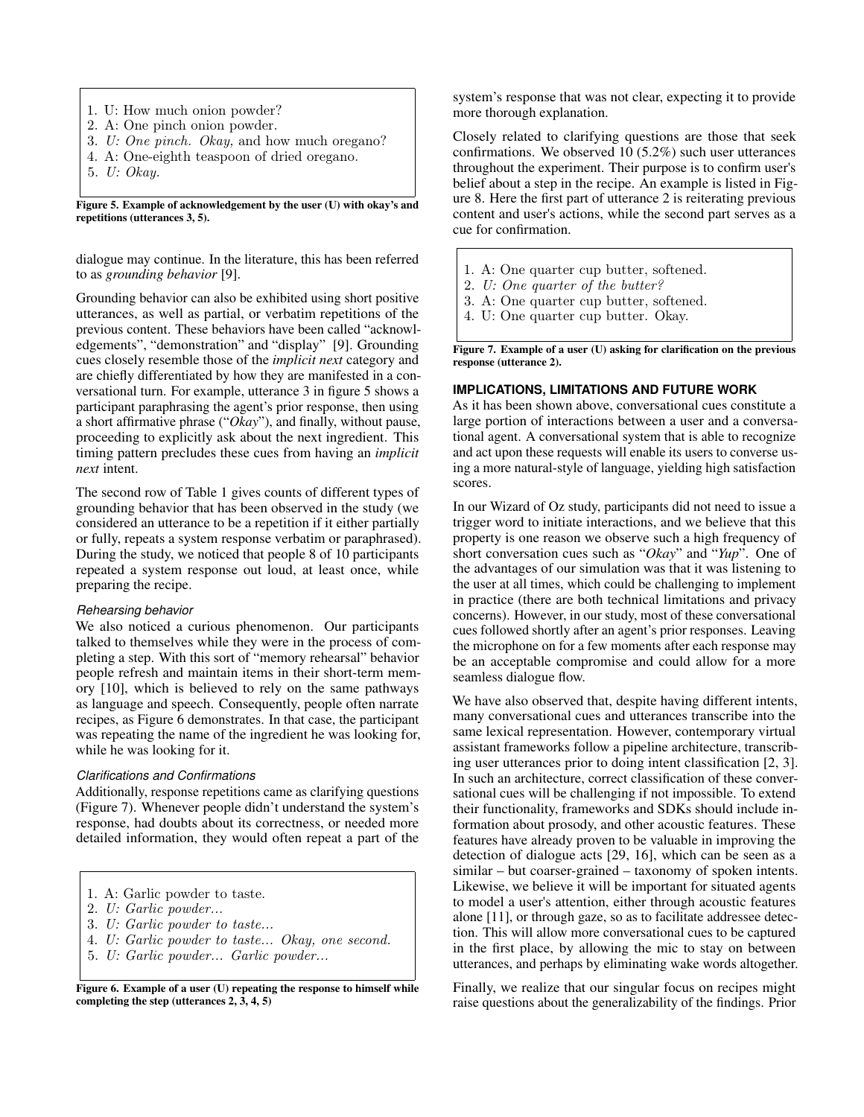- 1. U: How much onion powder?
- 2. A: One pinch onion powder.
- 3. U: One pinch. Okay, and how much oregano?
- 4. A: One-eighth teaspoon of dried oregano.
- <span id="page-4-0"></span>5. U: Okay.

Figure 5. Example of acknowledgement by the user (U) with okay's and repetitions (utterances 3, 5).

dialogue may continue. In the literature, this has been referred to as *grounding behavior* [\[9\]](#page-5-8).

Grounding behavior can also be exhibited using short positive utterances, as well as partial, or verbatim repetitions of the previous content. These behaviors have been called "acknowledgements", "demonstration" and "display" [\[9\]](#page-5-8). Grounding cues closely resemble those of the *implicit next* category and are chiefly differentiated by how they are manifested in a conversational turn. For example, utterance 3 in figure [5](#page-4-0) shows a participant paraphrasing the agent's prior response, then using a short affirmative phrase ("*Okay*"), and finally, without pause, proceeding to explicitly ask about the next ingredient. This timing pattern precludes these cues from having an *implicit next* intent.

The second row of Table [1](#page-3-1) gives counts of different types of grounding behavior that has been observed in the study (we considered an utterance to be a repetition if it either partially or fully, repeats a system response verbatim or paraphrased). During the study, we noticed that people 8 of 10 participants repeated a system response out loud, at least once, while preparing the recipe.

## *Rehearsing behavior*

We also noticed a curious phenomenon. Our participants talked to themselves while they were in the process of completing a step. With this sort of "memory rehearsal" behavior people refresh and maintain items in their short-term memory [\[10\]](#page-5-14), which is believed to rely on the same pathways as language and speech. Consequently, people often narrate recipes, as Figure [6](#page-4-1) demonstrates. In that case, the participant was repeating the name of the ingredient he was looking for, while he was looking for it.

## *Clarifications and Confirmations*

Additionally, response repetitions came as clarifying questions (Figure [7\)](#page-4-2). Whenever people didn't understand the system's response, had doubts about its correctness, or needed more detailed information, they would often repeat a part of the

- 1. A: Garlic powder to taste.
- 2. U: Garlic powder...
- 3. U: Garlic powder to taste...
- 4. U: Garlic powder to taste... Okay, one second.
- 5. U: Garlic powder... Garlic powder...

<span id="page-4-1"></span>Figure 6. Example of a user (U) repeating the response to himself while completing the step (utterances  $2, 3, 4, 5$ )

system's response that was not clear, expecting it to provide more thorough explanation.

Closely related to clarifying questions are those that seek confirmations. We observed 10 (5.2%) such user utterances throughout the experiment. Their purpose is to confirm user's belief about a step in the recipe. An example is listed in Figure [8.](#page-5-15) Here the first part of utterance 2 is reiterating previous content and user's actions, while the second part serves as a cue for confirmation.

- 1. A: One quarter cup butter, softened.
- 2. U: One quarter of the butter?
- 3. A: One quarter cup butter, softened.
- 4. U: One quarter cup butter. Okay.

<span id="page-4-2"></span>Figure 7. Example of a user (U) asking for clarification on the previous response (utterance 2).

## **IMPLICATIONS, LIMITATIONS AND FUTURE WORK**

As it has been shown above, conversational cues constitute a large portion of interactions between a user and a conversational agent. A conversational system that is able to recognize and act upon these requests will enable its users to converse using a more natural-style of language, yielding high satisfaction scores.

In our Wizard of Oz study, participants did not need to issue a trigger word to initiate interactions, and we believe that this property is one reason we observe such a high frequency of short conversation cues such as "*Okay*" and "*Yup*". One of the advantages of our simulation was that it was listening to the user at all times, which could be challenging to implement in practice (there are both technical limitations and privacy concerns). However, in our study, most of these conversational cues followed shortly after an agent's prior responses. Leaving the microphone on for a few moments after each response may be an acceptable compromise and could allow for a more seamless dialogue flow.

We have also observed that, despite having different intents, many conversational cues and utterances transcribe into the same lexical representation. However, contemporary virtual assistant frameworks follow a pipeline architecture, transcribing user utterances prior to doing intent classification [\[2,](#page-5-16) [3\]](#page-5-17). In such an architecture, correct classification of these conversational cues will be challenging if not impossible. To extend their functionality, frameworks and SDKs should include information about prosody, and other acoustic features. These features have already proven to be valuable in improving the detection of dialogue acts [\[29,](#page-6-11) [16\]](#page-5-18), which can be seen as a similar – but coarser-grained – taxonomy of spoken intents. Likewise, we believe it will be important for situated agents to model a user's attention, either through acoustic features alone [\[11\]](#page-5-19), or through gaze, so as to facilitate addressee detection. This will allow more conversational cues to be captured in the first place, by allowing the mic to stay on between utterances, and perhaps by eliminating wake words altogether.

Finally, we realize that our singular focus on recipes might raise questions about the generalizability of the findings. Prior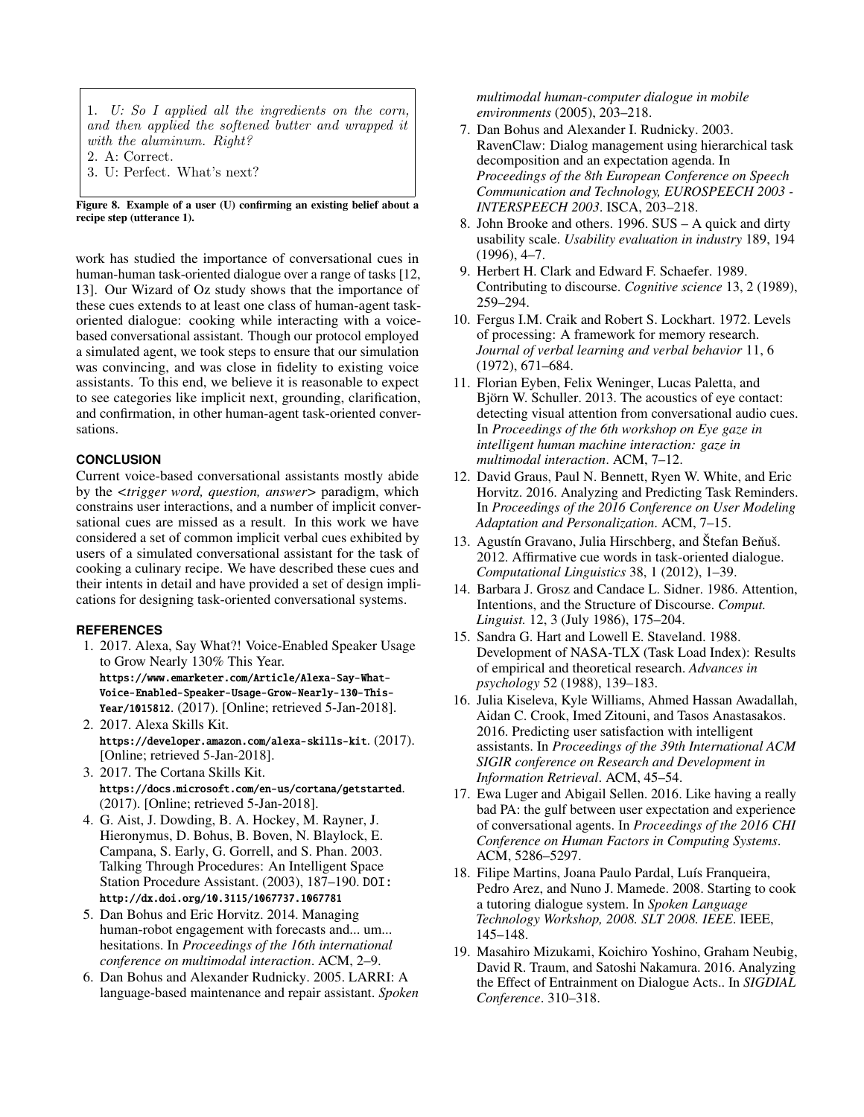1. U: So I applied all the ingredients on the corn, and then applied the softened butter and wrapped it with the aluminum. Right? 2. A: Correct. 3. U: Perfect. What's next?

<span id="page-5-15"></span>Figure 8. Example of a user (U) confirming an existing belief about a recipe step (utterance 1).

work has studied the importance of conversational cues in human-human task-oriented dialogue over a range of tasks [\[12,](#page-5-2) [13\]](#page-5-10). Our Wizard of Oz study shows that the importance of these cues extends to at least one class of human-agent taskoriented dialogue: cooking while interacting with a voicebased conversational assistant. Though our protocol employed a simulated agent, we took steps to ensure that our simulation was convincing, and was close in fidelity to existing voice assistants. To this end, we believe it is reasonable to expect to see categories like implicit next, grounding, clarification, and confirmation, in other human-agent task-oriented conversations.

# **CONCLUSION**

Current voice-based conversational assistants mostly abide by the *<trigger word, question, answer>* paradigm, which constrains user interactions, and a number of implicit conversational cues are missed as a result. In this work we have considered a set of common implicit verbal cues exhibited by users of a simulated conversational assistant for the task of cooking a culinary recipe. We have described these cues and their intents in detail and have provided a set of design implications for designing task-oriented conversational systems.

## **REFERENCES**

- <span id="page-5-0"></span>1. 2017. Alexa, Say What?! Voice-Enabled Speaker Usage to Grow Nearly 130% This Year. [https://www.emarketer.com/Article/Alexa-Say-What-](https://www.emarketer.com/Article/Alexa-Say-What-Voice-Enabled-Speaker-Usage-Grow-Nearly-130-This-Year/1015812)[Voice-Enabled-Speaker-Usage-Grow-Nearly-130-This-](https://www.emarketer.com/Article/Alexa-Say-What-Voice-Enabled-Speaker-Usage-Grow-Nearly-130-This-Year/1015812)[Year/1015812](https://www.emarketer.com/Article/Alexa-Say-What-Voice-Enabled-Speaker-Usage-Grow-Nearly-130-This-Year/1015812). (2017). [Online; retrieved 5-Jan-2018]. 2. 2017. Alexa Skills Kit.
- <span id="page-5-16"></span><https://developer.amazon.com/alexa-skills-kit>. (2017). [Online; retrieved 5-Jan-2018].
- <span id="page-5-17"></span>3. 2017. The Cortana Skills Kit. <https://docs.microsoft.com/en-us/cortana/getstarted>. (2017). [Online; retrieved 5-Jan-2018].
- <span id="page-5-3"></span>4. G. Aist, J. Dowding, B. A. Hockey, M. Rayner, J. Hieronymus, D. Bohus, B. Boven, N. Blaylock, E. Campana, S. Early, G. Gorrell, and S. Phan. 2003. Talking Through Procedures: An Intelligent Space Station Procedure Assistant. (2003), 187–190. DOI: <http://dx.doi.org/10.3115/1067737.1067781>
- <span id="page-5-9"></span>5. Dan Bohus and Eric Horvitz. 2014. Managing human-robot engagement with forecasts and... um... hesitations. In *Proceedings of the 16th international conference on multimodal interaction*. ACM, 2–9.
- <span id="page-5-4"></span>6. Dan Bohus and Alexander Rudnicky. 2005. LARRI: A language-based maintenance and repair assistant. *Spoken*

*multimodal human-computer dialogue in mobile environments* (2005), 203–218.

- <span id="page-5-11"></span>7. Dan Bohus and Alexander I. Rudnicky. 2003. RavenClaw: Dialog management using hierarchical task decomposition and an expectation agenda. In *Proceedings of the 8th European Conference on Speech Communication and Technology, EUROSPEECH 2003 - INTERSPEECH 2003*. ISCA, 203–218.
- <span id="page-5-13"></span>8. John Brooke and others. 1996. SUS – A quick and dirty usability scale. *Usability evaluation in industry* 189, 194 (1996), 4–7.
- <span id="page-5-8"></span>9. Herbert H. Clark and Edward F. Schaefer. 1989. Contributing to discourse. *Cognitive science* 13, 2 (1989), 259–294.
- <span id="page-5-14"></span>10. Fergus I.M. Craik and Robert S. Lockhart. 1972. Levels of processing: A framework for memory research. *Journal of verbal learning and verbal behavior* 11, 6 (1972), 671–684.
- <span id="page-5-19"></span>11. Florian Eyben, Felix Weninger, Lucas Paletta, and Björn W. Schuller. 2013. The acoustics of eye contact: detecting visual attention from conversational audio cues. In *Proceedings of the 6th workshop on Eye gaze in intelligent human machine interaction: gaze in multimodal interaction*. ACM, 7–12.
- <span id="page-5-2"></span>12. David Graus, Paul N. Bennett, Ryen W. White, and Eric Horvitz. 2016. Analyzing and Predicting Task Reminders. In *Proceedings of the 2016 Conference on User Modeling Adaptation and Personalization*. ACM, 7–15.
- <span id="page-5-10"></span>13. Agustín Gravano, Julia Hirschberg, and Štefan Beňuš. 2012. Affirmative cue words in task-oriented dialogue. *Computational Linguistics* 38, 1 (2012), 1–39.
- <span id="page-5-7"></span>14. Barbara J. Grosz and Candace L. Sidner. 1986. Attention, Intentions, and the Structure of Discourse. *Comput. Linguist.* 12, 3 (July 1986), 175–204.
- <span id="page-5-12"></span>15. Sandra G. Hart and Lowell E. Staveland. 1988. Development of NASA-TLX (Task Load Index): Results of empirical and theoretical research. *Advances in psychology* 52 (1988), 139–183.
- <span id="page-5-18"></span>16. Julia Kiseleva, Kyle Williams, Ahmed Hassan Awadallah, Aidan C. Crook, Imed Zitouni, and Tasos Anastasakos. 2016. Predicting user satisfaction with intelligent assistants. In *Proceedings of the 39th International ACM SIGIR conference on Research and Development in Information Retrieval*. ACM, 45–54.
- <span id="page-5-1"></span>17. Ewa Luger and Abigail Sellen. 2016. Like having a really bad PA: the gulf between user expectation and experience of conversational agents. In *Proceedings of the 2016 CHI Conference on Human Factors in Computing Systems*. ACM, 5286–5297.
- <span id="page-5-5"></span>18. Filipe Martins, Joana Paulo Pardal, Luís Franqueira, Pedro Arez, and Nuno J. Mamede. 2008. Starting to cook a tutoring dialogue system. In *Spoken Language Technology Workshop, 2008. SLT 2008. IEEE*. IEEE, 145–148.
- <span id="page-5-6"></span>19. Masahiro Mizukami, Koichiro Yoshino, Graham Neubig, David R. Traum, and Satoshi Nakamura. 2016. Analyzing the Effect of Entrainment on Dialogue Acts.. In *SIGDIAL Conference*. 310–318.